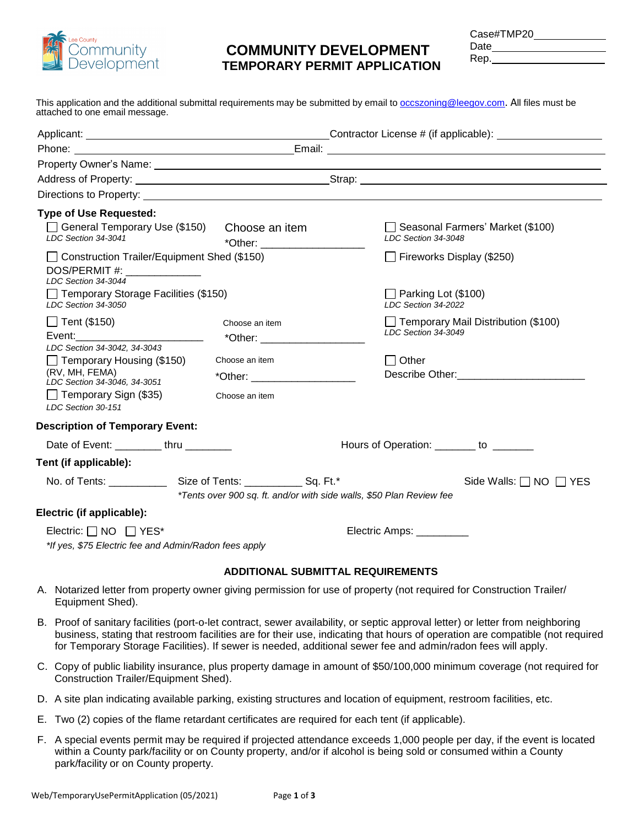

# **COMMUNITY DEVELOPMENT TEMPORARY PERMIT APPLICATION**

Case#TMP20

Date

| .       |  |
|---------|--|
| ٠<br>г. |  |

This application and the additional submittal requirements may be submitted by email to **[occszoning@leegov.com](mailto:occszoning@leegov.com,)**. All files must be attached to one email message.

| <b>Type of Use Requested:</b>                                         |                                                                      |              |                                                         |  |
|-----------------------------------------------------------------------|----------------------------------------------------------------------|--------------|---------------------------------------------------------|--|
| □ General Temporary Use (\$150) Choose an item<br>LDC Section 34-3041 | *Other: ________________________                                     |              | Seasonal Farmers' Market (\$100)<br>LDC Section 34-3048 |  |
| □ Construction Trailer/Equipment Shed (\$150)                         |                                                                      |              | Fireworks Display (\$250)                               |  |
| DOS/PERMIT #: _______________<br>LDC Section 34-3044                  |                                                                      |              |                                                         |  |
| Temporary Storage Facilities (\$150)<br>LDC Section 34-3050           |                                                                      |              | $\Box$ Parking Lot (\$100)<br>LDC Section 34-2022       |  |
| $\Box$ Tent (\$150)                                                   | Choose an item                                                       |              | Temporary Mail Distribution (\$100)                     |  |
| Event: Event                                                          | *Other: ___________________                                          |              | LDC Section 34-3049                                     |  |
| LDC Section 34-3042, 34-3043                                          | Choose an item                                                       |              |                                                         |  |
| $\Box$ Temporary Housing (\$150)<br>(RV, MH, FEMA)                    |                                                                      | $\Box$ Other |                                                         |  |
| LDC Section 34-3046, 34-3051                                          | *Other: _____________                                                |              |                                                         |  |
| $\Box$ Temporary Sign (\$35)<br>LDC Section 30-151                    | Choose an item                                                       |              |                                                         |  |
| <b>Description of Temporary Event:</b>                                |                                                                      |              |                                                         |  |
| Date of Event: __________thru ________                                | Hours of Operation: _______ to _______                               |              |                                                         |  |
| Tent (if applicable):                                                 |                                                                      |              |                                                         |  |
|                                                                       |                                                                      |              | Side Walls: $\Box$ NO $\Box$ YES                        |  |
|                                                                       | *Tents over 900 sq. ft. and/or with side walls, \$50 Plan Review fee |              |                                                         |  |
| Electric (if applicable):                                             |                                                                      |              |                                                         |  |
| Electric: $\Box$ NO $\Box$ YES*                                       |                                                                      |              | Electric Amps: __________                               |  |
| *If yes, \$75 Electric fee and Admin/Radon fees apply                 |                                                                      |              |                                                         |  |
|                                                                       |                                                                      |              |                                                         |  |
|                                                                       | <b>ADDITIONAL SUBMITTAL REQUIREMENTS</b>                             |              |                                                         |  |

- A. Notarized letter from property owner giving permission for use of property (not required for Construction Trailer/ Equipment Shed).
- B. Proof of sanitary facilities (port-o-let contract, sewer availability, or septic approval letter) or letter from neighboring business, stating that restroom facilities are for their use, indicating that hours of operation are compatible (not required for Temporary Storage Facilities). If sewer is needed, additional sewer fee and admin/radon fees will apply.
- C. Copy of public liability insurance, plus property damage in amount of \$50/100,000 minimum coverage (not required for Construction Trailer/Equipment Shed).
- D. A site plan indicating available parking, existing structures and location of equipment, restroom facilities, etc.
- E. Two (2) copies of the flame retardant certificates are required for each tent (if applicable).
- F. A special events permit may be required if projected attendance exceeds 1,000 people per day, if the event is located within a County park/facility or on County property, and/or if alcohol is being sold or consumed within a County park/facility or on County property.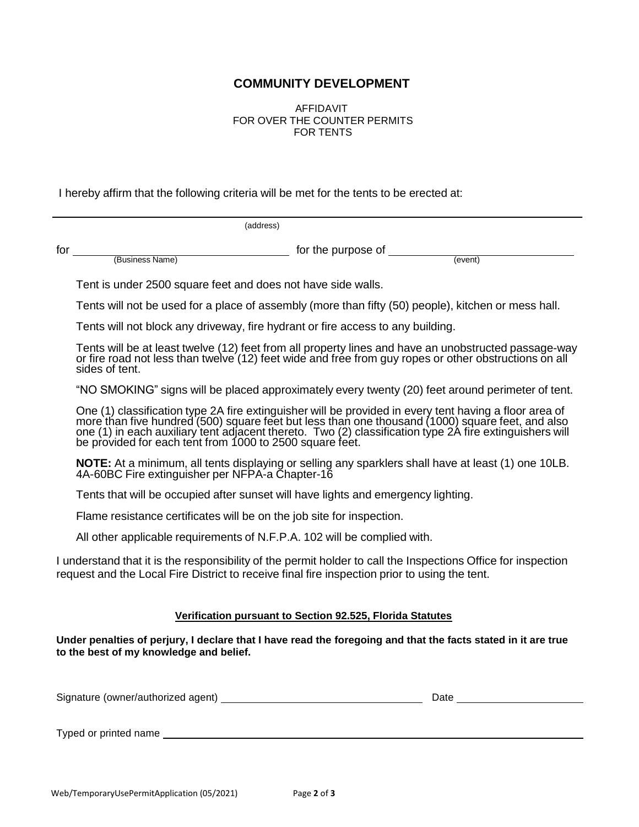## **COMMUNITY DEVELOPMENT**

AFFIDAVIT FOR OVER THE COUNTER PERMITS FOR TENTS

I hereby affirm that the following criteria will be met for the tents to be erected at:

(address)

for for the purpose of (Business Name) (Business Name)

Tent is under 2500 square feet and does not have side walls.

Tents will not be used for a place of assembly (more than fifty (50) people), kitchen or mess hall.

Tents will not block any driveway, fire hydrant or fire access to any building.

Tents will be at least twelve (12) feet from all property lines and have an unobstructed passage-way or fire road not less than twelve (12) feet wide and free from guy ropes or other obstructions on all sides of tent.

"NO SMOKING" signs will be placed approximately every twenty (20) feet around perimeter of tent.

One (1) classification type 2A fire extinguisher will be provided in every tent having a floor area of more than five hundred (500) square feet but less than one thousand (1000) square feet, and also one (1) in each auxiliary tent adjacent thereto. Two (2) classification type 2A fire extinguishers will be provided for each tent from 1000 to 2500 square feet.

**NOTE:** At a minimum, all tents displaying or selling any sparklers shall have at least (1) one 10LB. 4A-60BC Fire extinguisher per NFPA-a Chapter-16

Tents that will be occupied after sunset will have lights and emergency lighting.

Flame resistance certificates will be on the job site for inspection.

All other applicable requirements of N.F.P.A. 102 will be complied with.

I understand that it is the responsibility of the permit holder to call the Inspections Office for inspection request and the Local Fire District to receive final fire inspection prior to using the tent.

#### **Verification pursuant to Section 92.525, Florida Statutes**

**Under penalties of perjury, I declare that I have read the foregoing and that the facts stated in it are true to the best of my knowledge and belief.**

| Signature (owner/authorized agent) | Date |
|------------------------------------|------|
|                                    |      |

Typed or printed name